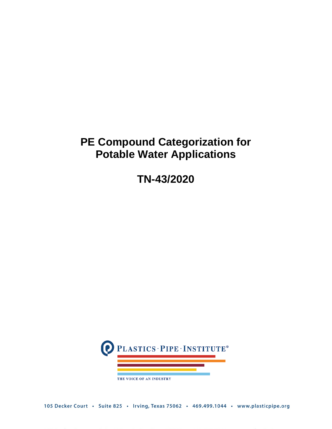## **PE Compound Categorization for Potable Water Applications**

**TN-43/2020**



105 Decker Court · Suite 825 · Irving, Texas 75062 · 469.499.1044 · www.plasticpipe.org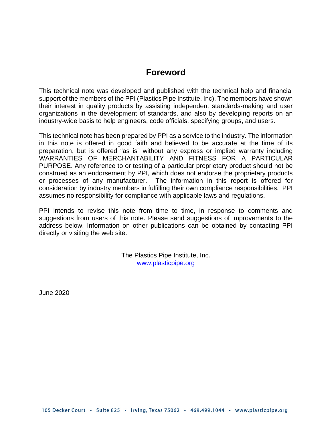## **Foreword**

This technical note was developed and published with the technical help and financial support of the members of the PPI (Plastics Pipe Institute, Inc). The members have shown their interest in quality products by assisting independent standards-making and user organizations in the development of standards, and also by developing reports on an industry-wide basis to help engineers, code officials, specifying groups, and users.

This technical note has been prepared by PPI as a service to the industry. The information in this note is offered in good faith and believed to be accurate at the time of its preparation, but is offered "as is" without any express or implied warranty including WARRANTIES OF MERCHANTABILITY AND FITNESS FOR A PARTICULAR PURPOSE. Any reference to or testing of a particular proprietary product should not be construed as an endorsement by PPI, which does not endorse the proprietary products or processes of any manufacturer. The information in this report is offered for consideration by industry members in fulfilling their own compliance responsibilities. PPI assumes no responsibility for compliance with applicable laws and regulations.

PPI intends to revise this note from time to time, in response to comments and suggestions from users of this note. Please send suggestions of improvements to the address below. Information on other publications can be obtained by contacting PPI directly or visiting the web site.

> The Plastics Pipe Institute, Inc. [www.plasticpipe.org](http://www.plasticpipe.org/)

June 2020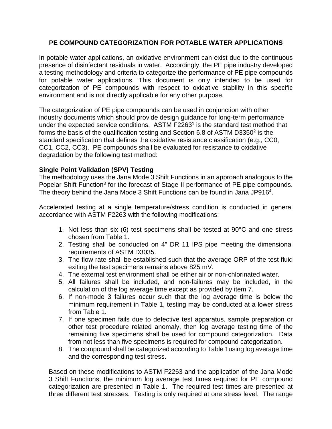## **PE COMPOUND CATEGORIZATION FOR POTABLE WATER APPLICATIONS**

In potable water applications, an oxidative environment can exist due to the continuous presence of disinfectant residuals in water. Accordingly, the PE pipe industry developed a testing methodology and criteria to categorize the performance of PE pipe compounds for potable water applications. This document is only intended to be used for categorization of PE compounds with respect to oxidative stability in this specific environment and is not directly applicable for any other purpose.

The categorization of PE pipe compounds can be used in conjunction with other industry documents which should provide design guidance for long-term performance under the expected service conditions. ASTM F2263<sup>1</sup> is the standard test method that forms the basis of the qualification testing and Section 6.8 of ASTM D3350 $2$  is the standard specification that defines the oxidative resistance classification (e.g., CC0, CC1, CC2, CC3). PE compounds shall be evaluated for resistance to oxidative degradation by the following test method:

## **Single Point Validation (SPV) Testing**

The methodology uses the Jana Mode 3 Shift Functions in an approach analogous to the Popelar Shift Function<sup>3</sup> for the forecast of Stage II performance of PE pipe compounds. The theory behind the Jana Mode 3 Shift Functions can be found in Jana JP916<sup>4</sup>.

Accelerated testing at a single temperature/stress condition is conducted in general accordance with ASTM F2263 with the following modifications:

- 1. Not less than six (6) test specimens shall be tested at 90°C and one stress chosen from Table 1.
- 2. Testing shall be conducted on 4" DR 11 IPS pipe meeting the dimensional requirements of ASTM D3035.
- 3. The flow rate shall be established such that the average ORP of the test fluid exiting the test specimens remains above 825 mV.
- 4. The external test environment shall be either air or non-chlorinated water.
- 5. All failures shall be included, and non-failures may be included, in the calculation of the log average time except as provided by item 7.
- 6. If non-mode 3 failures occur such that the log average time is below the minimum requirement in Table 1, testing may be conducted at a lower stress from Table 1.
- 7. If one specimen fails due to defective test apparatus, sample preparation or other test procedure related anomaly, then log average testing time of the remaining five specimens shall be used for compound categorization. Data from not less than five specimens is required for compound categorization.
- 8. The compound shall be categorized according to Table 1using log average time and the corresponding test stress.

Based on these modifications to ASTM F2263 and the application of the Jana Mode 3 Shift Functions, the minimum log average test times required for PE compound categorization are presented in Table 1. The required test times are presented at three different test stresses. Testing is only required at one stress level. The range